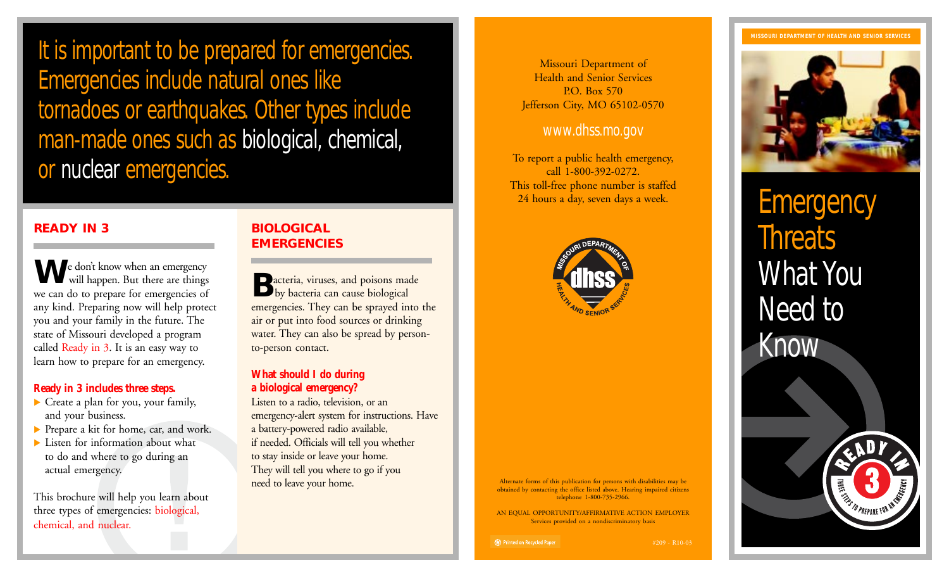It is important to be prepared for emergencies. Emergencies include natural ones like tornadoes or earthquakes. Other types include man-made ones such as biological, chemical, or nuclear emergencies.

## **READY IN 3**

We don't know when an emergency will happen. But there are things we can do to prepare for emergencies of any kind. Preparing now will help protect you and your family in the future. The state of Missouri developed a program called Ready in 3. It is an easy way to learn how to prepare for an emergency.

#### **Ready in 3 includes three steps.**

- $\triangleright$  Create a plan for you, your family, and your business.
- ▶ Prepare a kit for home, car, and work.
- $\blacktriangleright$  Listen for information about what to do and where to go during an actual emergency.

This brochure will help you learn about three types of emergencies: biological, chemical, and nuclear.

## **BIOLOGICAL EMERGENCIES**

**B**acteria, viruses, and poisons made **by bacteria can cause biological** emergencies. They can be sprayed into the air or put into food sources or drinking water. They can also be spread by personto-person contact.

### **What should I do during a biological emergency?**

Listen to a radio, television, or an emergency-alert system for instructions. Have a battery-powered radio available, if needed. Officials will tell you whether to stay inside or leave your home. They will tell you where to go if you need to leave your home.

Missouri Department of Health and Senior Services P.O. Box 570 Jefferson City, MO 65102-0570

# www.dhss.mo.gov

To report a public health emergency, call 1-800-392-0272. This toll-free phone number is staffed 24 hours a day, seven days a week.



Alternate forms of this publication for persons with disabilities may be obtained by contacting the office listed above. Hearing impaired citizens telephone 1-800-735-2966.

AN EQUAL OPPORTUNITY/AFFIRMATIVE ACTION EMPLOYER Services provided on a nondiscriminatory basis

Printed on Recycled Paper

#### **MISSOURI DEPARTMENT OF HEALTH AND SENIOR SERVICES**



**Emergency Threats** What You Need to Know